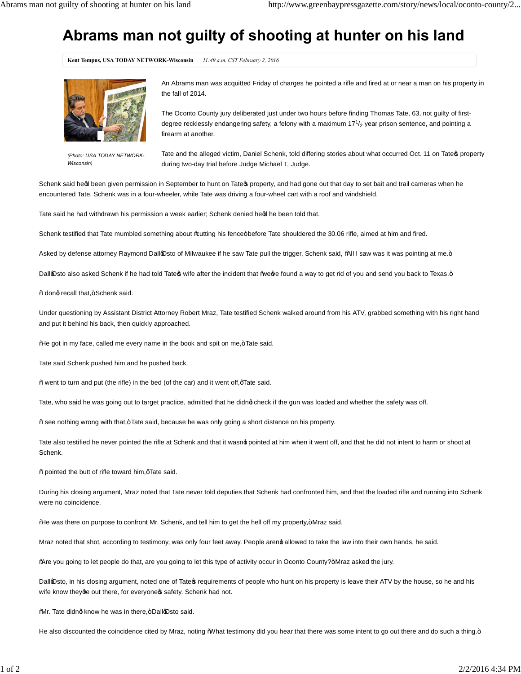## **Abrams man not guilty of shooting at hunter on his land**

**Kent Tempus, USA TODAY NETWORK-Wisconsin** *11:49 a.m. CST February 2, 2016*



*(Photo: USA TODAY NETWORK-Wisconsin)*

An Abrams man was acquitted Friday of charges he pointed a rifle and fired at or near a man on his property in the fall of 2014.

The Oconto County jury deliberated just under two hours before finding Thomas Tate, 63, not guilty of firstdegree recklessly endangering safety, a felony with a maximum 17 $^1\!/_2$  year prison sentence, and pointing a firearm at another.

Tate and the alleged victim, Daniel Schenk, told differing stories about what occurred Oct. 11 on Tate oproperty during two-day trial before Judge Michael T. Judge.

Schenk said heod been given permission in September to hunt on Tateos property, and had gone out that day to set bait and trail cameras when he encountered Tate. Schenk was in a four-wheeler, while Tate was driving a four-wheel cart with a roof and windshield.

Tate said he had withdrawn his permission a week earlier; Schenk denied heo heen told that.

Schenk testified that Tate mumbled something about % autting his fence+before Tate shouldered the 30.06 rifle, aimed at him and fired.

Asked by defense attorney Raymond Dall@sto of Milwaukee if he saw Tate pull the trigger, Schenk said, %all I saw was it was pointing at me.+

Dall@sto also asked Schenk if he had told Tate wife after the incident that ‰ewe found a way to get rid of you and send you back to Texas.+

%donq recall that,+Schenk said.

Under questioning by Assistant District Attorney Robert Mraz, Tate testified Schenk walked around from his ATV, grabbed something with his right hand and put it behind his back, then quickly approached.

%He got in my face, called me every name in the book and spit on me,+Tate said.

Tate said Schenk pushed him and he pushed back.

%went to turn and put (the rifle) in the bed (of the car) and it went off, qTate said.

Tate, who said he was going out to target practice, admitted that he didno check if the gun was loaded and whether the safety was off.

% see nothing wrong with that, + Tate said, because he was only going a short distance on his property.

Tate also testified he never pointed the rifle at Schenk and that it wasnd pointed at him when it went off, and that he did not intent to harm or shoot at Schenk.

% pointed the butt of rifle toward him, qTate said.

During his closing argument, Mraz noted that Tate never told deputies that Schenk had confronted him, and that the loaded rifle and running into Schenk were no coincidence.

%He was there on purpose to confront Mr. Schenk, and tell him to get the hell off my property,+ Mraz said.

Mraz noted that shot, according to testimony, was only four feet away. People arenq allowed to take the law into their own hands, he said.

% He you going to let people do that, are you going to let this type of activity occur in Oconto County?+Mraz asked the jury.

Dallopsto, in his closing argument, noted one of Tate of requirements of people who hunt on his property is leave their ATV by the house, so he and his wife know they ae out there, for everyone of safety. Schenk had not.

%Mr. Tate didnot know he was in there,+ Dallo Osto said.

He also discounted the coincidence cited by Mraz, noting %What testimony did you hear that there was some intent to go out there and do such a thing.+